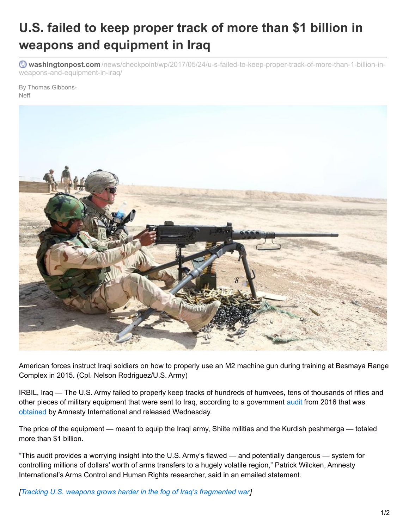## **U.S. failed to keep proper track of more than \$1 billion in weapons and equipment in Iraq**

**washingtonpost.com** [/news/checkpoint/wp/2017/05/24/u-s-failed-to-keep-proper-track-of-more-than-1-billion-in](https://www.washingtonpost.com/news/checkpoint/wp/2017/05/24/u-s-failed-to-keep-proper-track-of-more-than-1-billion-in-weapons-and-equipment-in-iraq/?utm_term=.57dba4f3609e)weapons-and-equipment-in-iraq/

By Thomas Gibbons-Neff



American forces instruct Iraqi soldiers on how to properly use an M2 machine gun during training at Besmaya Range Complex in 2015. (Cpl. Nelson Rodriguez/U.S. Army)

IRBIL, Iraq — The U.S. Army failed to properly keep tracks of hundreds of humvees, tens of thousands of rifles and other pieces of military equipment that were sent to Iraq, according to a government [audit](http://www.dodig.mil/FOIA/err/DODIG-2016-134.pdf) from 2016 that was [obtained](https://www.amnesty.org.uk/press-releases/usa-admits-it-failed-monitor-1bn-arms-iraq) by Amnesty International and released Wednesday.

The price of the equipment — meant to equip the Iraqi army, Shiite militias and the Kurdish peshmerga — totaled more than \$1 billion.

"This audit provides a worrying insight into the U.S. Army's flawed — and potentially dangerous — system for controlling millions of dollars' worth of arms transfers to a hugely volatile region," Patrick Wilcken, Amnesty International's Arms Control and Human Rights researcher, said in an emailed statement.

*[Tracking U.S. weapons grows harder in the fog of Iraq's [fragmented](https://www.washingtonpost.com/world/national-security/tracking-us-weapons-grows-harder-in-the-fog-of-iraqs-fragmented-war/2015/03/26/5d94e7a4-d313-11e4-a62f-ee745911a4ff_story.html?utm_term=.2c4fc1e6166c) war]*